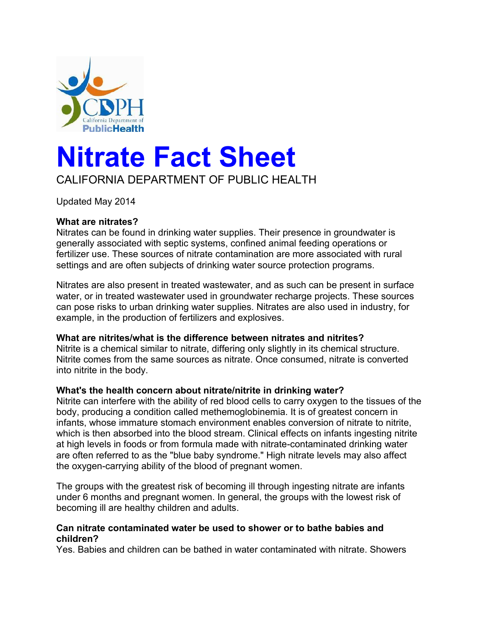

# **Nitrate Fact Sheet**

# CALIFORNIA DEPARTMENT OF PUBLIC HEALTH

Updated May 2014

#### **What are nitrates?**

Nitrates can be found in drinking water supplies. Their presence in groundwater is generally associated with septic systems, confined animal feeding operations or fertilizer use. These sources of nitrate contamination are more associated with rural settings and are often subjects of drinking water source protection programs.

Nitrates are also present in treated wastewater, and as such can be present in surface water, or in treated wastewater used in groundwater recharge projects. These sources can pose risks to urban drinking water supplies. Nitrates are also used in industry, for example, in the production of fertilizers and explosives.

#### **What are nitrites/what is the difference between nitrates and nitrites?**

Nitrite is a chemical similar to nitrate, differing only slightly in its chemical structure. Nitrite comes from the same sources as nitrate. Once consumed, nitrate is converted into nitrite in the body.

#### **What's the health concern about nitrate/nitrite in drinking water?**

Nitrite can interfere with the ability of red blood cells to carry oxygen to the tissues of the body, producing a condition called methemoglobinemia. It is of greatest concern in infants, whose immature stomach environment enables conversion of nitrate to nitrite, which is then absorbed into the blood stream. Clinical effects on infants ingesting nitrite at high levels in foods or from formula made with nitrate-contaminated drinking water are often referred to as the "blue baby syndrome." High nitrate levels may also affect the oxygen-carrying ability of the blood of pregnant women.

The groups with the greatest risk of becoming ill through ingesting nitrate are infants under 6 months and pregnant women. In general, the groups with the lowest risk of becoming ill are healthy children and adults.

#### **Can nitrate contaminated water be used to shower or to bathe babies and children?**

Yes. Babies and children can be bathed in water contaminated with nitrate. Showers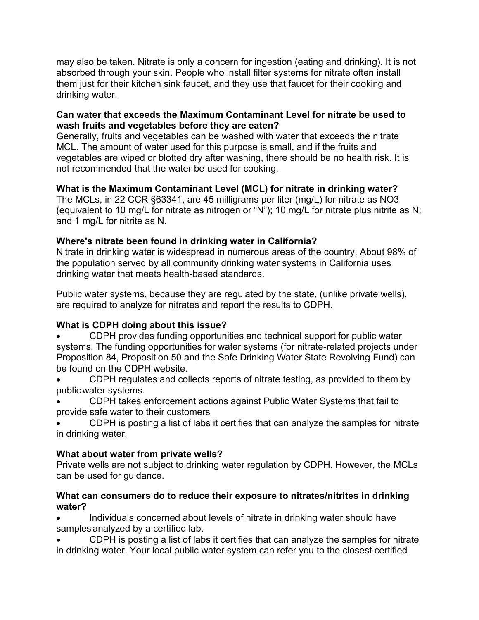may also be taken. Nitrate is only a concern for ingestion (eating and drinking). It is not absorbed through your skin. People who install filter systems for nitrate often install them just for their kitchen sink faucet, and they use that faucet for their cooking and drinking water.

#### **Can water that exceeds the Maximum Contaminant Level for nitrate be used to wash fruits and vegetables before they are eaten?**

Generally, fruits and vegetables can be washed with water that exceeds the nitrate MCL. The amount of water used for this purpose is small, and if the fruits and vegetables are wiped or blotted dry after washing, there should be no health risk. It is not recommended that the water be used for cooking.

#### **What is the Maximum Contaminant Level (MCL) for nitrate in drinking water?**

The MCLs, in 22 CCR §63341, are 45 milligrams per liter (mg/L) for nitrate as NO3 (equivalent to 10 mg/L for nitrate as nitrogen or "N"); 10 mg/L for nitrate plus nitrite as N; and 1 mg/L for nitrite as N.

#### **Where's nitrate been found in drinking water in California?**

Nitrate in drinking water is widespread in numerous areas of the country. About 98% of the population served by all community drinking water systems in California uses drinking water that meets health-based standards.

Public water systems, because they are regulated by the state, (unlike private wells), are required to analyze for nitrates and report the results to CDPH.

## **What is CDPH doing about this issue?**

- · CDPH provides funding opportunities and technical support for public water systems. The funding opportunities for water systems (for nitrate-related projects under Proposition 84, Proposition 50 and the Safe Drinking Water State Revolving Fund) can be found on the [CDPH website.](http://www.cdph.ca.gov/certlic/drinkingwater/Pages/DWPfunding.aspx)
- · CDPH regulates and collects reports of nitrate testing, as provided to them by public water systems.
- · CDPH takes enforcement actions against Public Water Systems that fail to provide safe water to their customers
- CDPH is posting a list of labs it certifies that can analyze the samples for nitrate in drinking water.

## **What about water from private wells?**

Private wells are not subject to drinking water regulation by CDPH. However, the MCLs can be used for guidance.

#### **What can consumers do to reduce their exposure to nitrates/nitrites in drinking water?**

· Individuals concerned about levels of nitrate in drinking water should have samples analyzed by a certified lab.

CDPH is posting a list of labs it certifies that can analyze the samples for nitrate in drinking water. Your local public water system can refer you to the closest certified